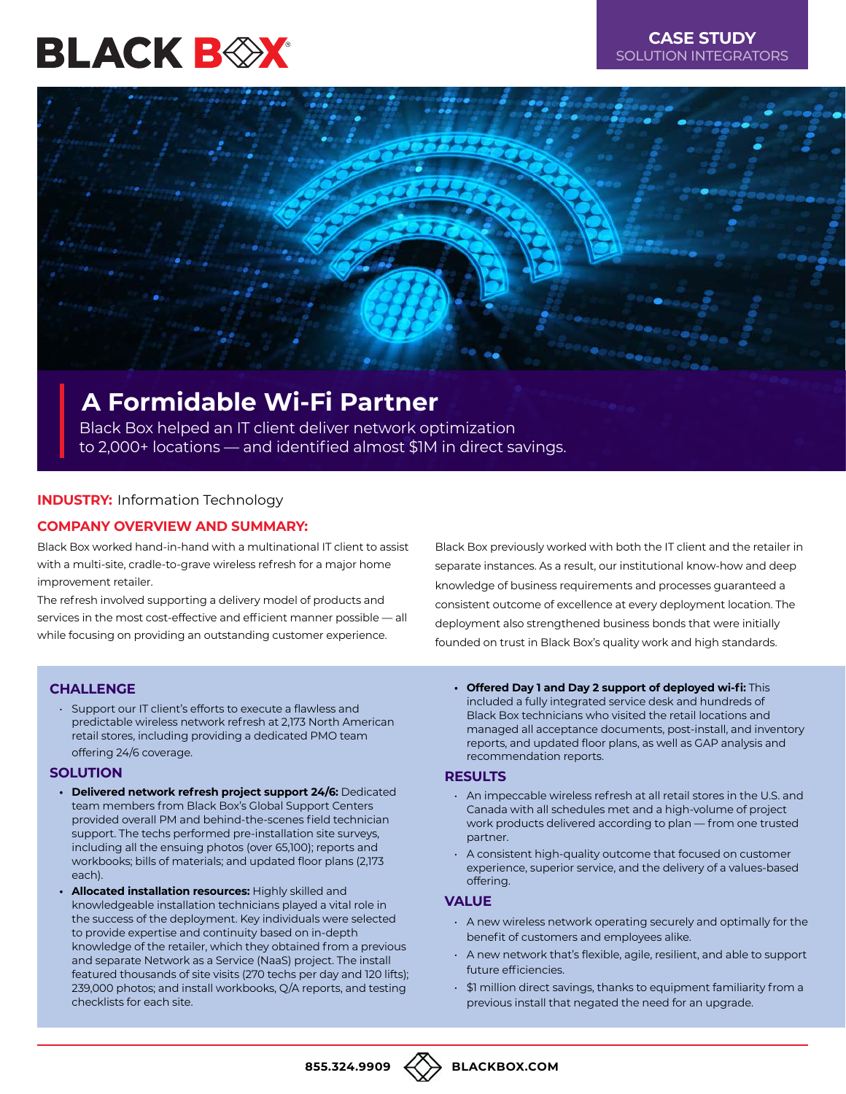# BLACK B $\otimes$ X



# **A Formidable Wi-Fi Partner**

Black Box helped an IT client deliver network optimization to 2,000+ locations — and identified almost \$1M in direct savings.

# **INDUSTRY:** Information Technology

# **COMPANY OVERVIEW AND SUMMARY:**

Black Box worked hand-in-hand with a multinational IT client to assist with a multi-site, cradle-to-grave wireless refresh for a major home improvement retailer.

The refresh involved supporting a delivery model of products and services in the most cost-effective and efficient manner possible — all while focusing on providing an outstanding customer experience.

Black Box previously worked with both the IT client and the retailer in separate instances. As a result, our institutional know-how and deep knowledge of business requirements and processes guaranteed a consistent outcome of excellence at every deployment location. The deployment also strengthened business bonds that were initially founded on trust in Black Box's quality work and high standards.

# **CHALLENGE**

• Support our IT client's efforts to execute a flawless and predictable wireless network refresh at 2,173 North American retail stores, including providing a dedicated PMO team offering 24/6 coverage.

#### **SOLUTION**

- **• Delivered network refresh project support 24/6:** Dedicated team members from Black Box's Global Support Centers provided overall PM and behind-the-scenes field technician support. The techs performed pre-installation site surveys, including all the ensuing photos (over 65,100); reports and workbooks; bills of materials; and updated floor plans (2,173 each).
- **• Allocated installation resources:** Highly skilled and knowledgeable installation technicians played a vital role in the success of the deployment. Key individuals were selected to provide expertise and continuity based on in-depth knowledge of the retailer, which they obtained from a previous and separate Network as a Service (NaaS) project. The install featured thousands of site visits (270 techs per day and 120 lifts); 239,000 photos; and install workbooks, Q/A reports, and testing checklists for each site.

**• Offered Day 1 and Day 2 support of deployed wi-fi:** This included a fully integrated service desk and hundreds of Black Box technicians who visited the retail locations and managed all acceptance documents, post-install, and inventory reports, and updated floor plans, as well as GAP analysis and recommendation reports.

#### **RESULTS**

- An impeccable wireless refresh at all retail stores in the U.S. and Canada with all schedules met and a high-volume of project work products delivered according to plan — from one trusted partner.
- A consistent high-quality outcome that focused on customer experience, superior service, and the delivery of a values-based offering.

#### **VALUE**

- A new wireless network operating securely and optimally for the benefit of customers and employees alike.
- A new network that's flexible, agile, resilient, and able to support future efficiencies.
- \$1 million direct savings, thanks to equipment familiarity from a previous install that negated the need for an upgrade.